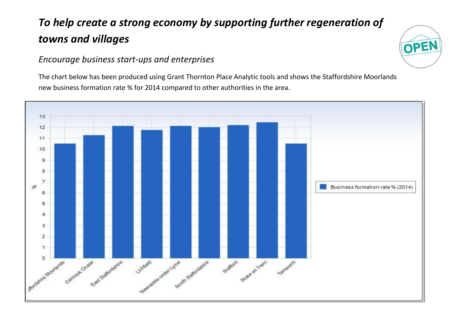## *To help create a strong economy by supporting further regeneration of towns and villages*

## *Encourage business start-ups and enterprises*

The chart below has been produced using Grant Thornton Place Analytic tools and shows the Staffordshire Moorlands new business formation rate % for 2014 compared to other authorities in the area.

OPE

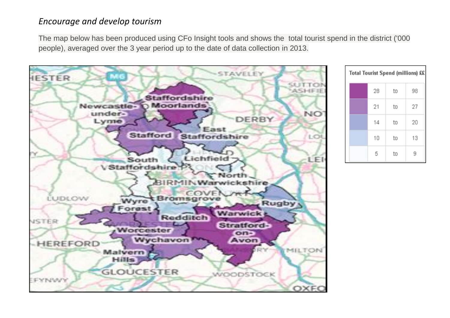## *Encourage and develop tourism*

The map below has been produced using CFo Insight tools and shows the total tourist spend in the district ('000 people), averaged over the 3 year period up to the date of data collection in 2013.



| Total Tourist Spend (millions) ££ |    |    |    |  |
|-----------------------------------|----|----|----|--|
|                                   | 28 | to | 98 |  |
|                                   | 21 | to | 27 |  |
|                                   | 14 | to | 20 |  |
|                                   | 10 | to | 13 |  |
|                                   | 5  | to |    |  |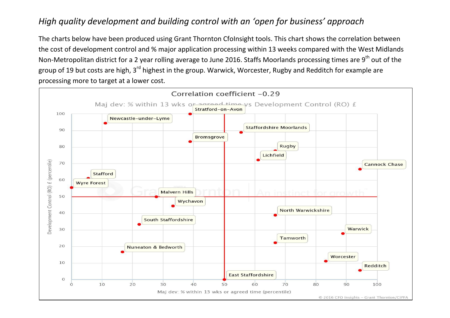## *High quality development and building control with an 'open for business' approach*

The charts below have been produced using Grant Thornton Cfolnsight tools. This chart shows the correlation between the cost of development control and % major application processing within 13 weeks compared with the West Midlands Non-Metropolitan district for a 2 year rolling average to June 2016. Staffs Moorlands processing times are 9<sup>th</sup> out of the group of 19 but costs are high, 3<sup>rd</sup> highest in the group. Warwick, Worcester, Rugby and Redditch for example are processing more to target at a lower cost.

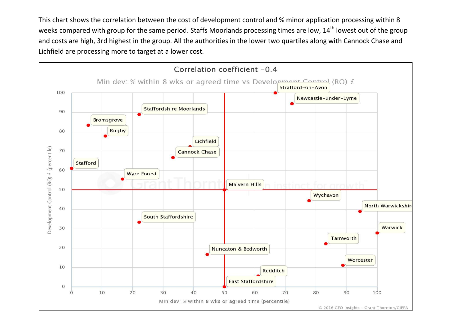This chart shows the correlation between the cost of development control and % minor application processing within 8 weeks compared with group for the same period. Staffs Moorlands processing times are low, 14<sup>th</sup> lowest out of the group and costs are high, 3rd highest in the group. All the authorities in the lower two quartiles along with Cannock Chase and Lichfield are processing more to target at a lower cost.

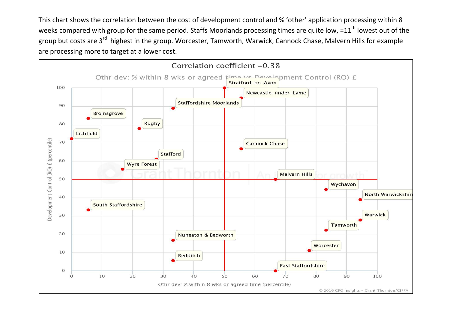This chart shows the correlation between the cost of development control and % 'other' application processing within 8 weeks compared with group for the same period. Staffs Moorlands processing times are quite low, = $11<sup>th</sup>$  lowest out of the group but costs are 3<sup>rd</sup> highest in the group. Worcester, Tamworth, Warwick, Cannock Chase, Malvern Hills for example are processing more to target at a lower cost.